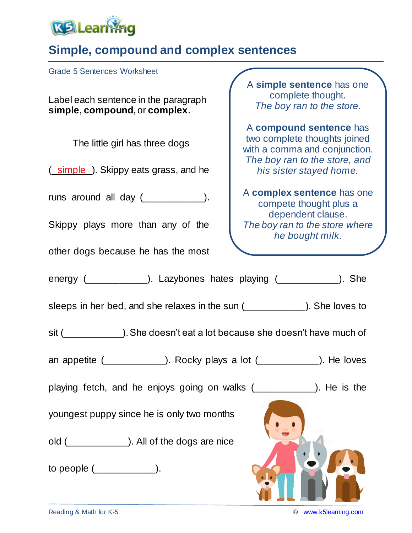

## **Simple, compound and complex sentences**

Grade 5 Sentences Worksheet

Label each sentence in the paragraph **simple**, **compound**, or **complex**.

The little girl has three dogs

( simple ). Skippy eats grass, and he

runs around all day ( \_\_\_\_\_\_\_\_\_\_).

Skippy plays more than any of the

other dogs because he has the most

A **simple sentence** has one complete thought. *The boy ran to the store.*

A **compound sentence** has two complete thoughts joined with a comma and conjunction. *The boy ran to the store, and his sister stayed home.*

A **complex sentence** has one compete thought plus a dependent clause. *The boy ran to the store where he bought milk.*

energy (\_\_\_\_\_\_\_\_\_\_\_). Lazybones hates playing (\_\_\_\_\_\_\_\_\_\_\_). She

sleeps in her bed, and she relaxes in the sun (\_\_\_\_\_\_\_\_\_\_\_\_). She loves to

sit (\_\_\_\_\_\_\_\_\_\_\_\_). She doesn't eat a lot because she doesn't have much of

an appetite (\_\_\_\_\_\_\_\_\_\_\_). Rocky plays a lot (\_\_\_\_\_\_\_\_\_\_\_). He loves

playing fetch, and he enjoys going on walks (\_\_\_\_\_\_\_\_\_\_\_\_). He is the

youngest puppy since he is only two months

old (  $\qquad \qquad$  ). All of the dogs are nice

to people (\_\_\_\_\_\_\_\_\_\_\_).